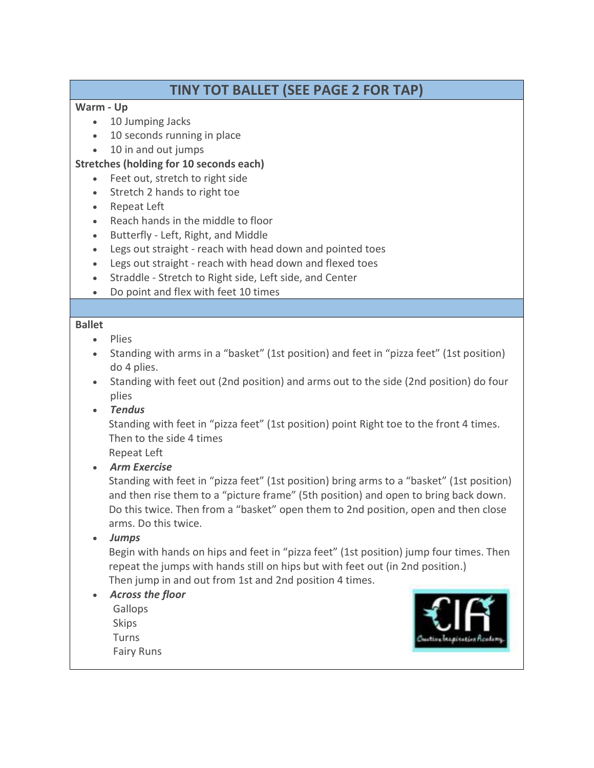# TINY TOT BALLET (SEE PAGE 2 FOR TAP)

### Warm - Up

- 10 Jumping Jacks
- 10 seconds running in place
- 10 in and out jumps

## Stretches (holding for 10 seconds each)

- Feet out, stretch to right side
- Stretch 2 hands to right toe
- Repeat Left
- Reach hands in the middle to floor
- Butterfly Left, Right, and Middle
- Legs out straight reach with head down and pointed toes
- Legs out straight reach with head down and flexed toes
- Straddle Stretch to Right side, Left side, and Center
- Do point and flex with feet 10 times

#### Ballet

- Plies
- Standing with arms in a "basket" (1st position) and feet in "pizza feet" (1st position) do 4 plies.
- Standing with feet out (2nd position) and arms out to the side (2nd position) do four plies
- Tendus

Standing with feet in "pizza feet" (1st position) point Right toe to the front 4 times. Then to the side 4 times

Repeat Left

Arm Exercise

Standing with feet in "pizza feet" (1st position) bring arms to a "basket" (1st position) and then rise them to a "picture frame" (5th position) and open to bring back down. Do this twice. Then from a "basket" open them to 2nd position, open and then close arms. Do this twice.

Jumps

Begin with hands on hips and feet in "pizza feet" (1st position) jump four times. Then repeat the jumps with hands still on hips but with feet out (in 2nd position.) Then jump in and out from 1st and 2nd position 4 times.

- Across the floor
	- Gallops Skips **Turns** Fairy Runs